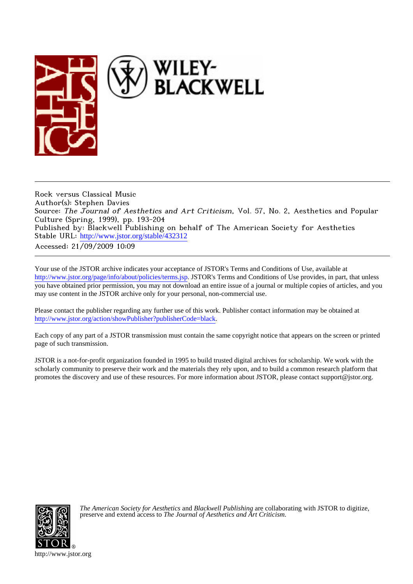

Rock versus Classical Music Author(s): Stephen Davies Source: The Journal of Aesthetics and Art Criticism, Vol. 57, No. 2, Aesthetics and Popular Culture (Spring, 1999), pp. 193-204 Published by: Blackwell Publishing on behalf of The American Society for Aesthetics Stable URL: [http://www.jstor.org/stable/432312](https://www.jstor.org/stable/432312?origin=JSTOR-pdf) Accessed: 21/09/2009 10:09

Your use of the JSTOR archive indicates your acceptance of JSTOR's Terms and Conditions of Use, available at [http://www.jstor.org/page/info/about/policies/terms.jsp](https://www.jstor.org/page/info/about/policies/terms.jsp). JSTOR's Terms and Conditions of Use provides, in part, that unless you have obtained prior permission, you may not download an entire issue of a journal or multiple copies of articles, and you may use content in the JSTOR archive only for your personal, non-commercial use.

Please contact the publisher regarding any further use of this work. Publisher contact information may be obtained at [http://www.jstor.org/action/showPublisher?publisherCode=black.](https://www.jstor.org/action/showPublisher?publisherCode=black)

Each copy of any part of a JSTOR transmission must contain the same copyright notice that appears on the screen or printed page of such transmission.

JSTOR is a not-for-profit organization founded in 1995 to build trusted digital archives for scholarship. We work with the scholarly community to preserve their work and the materials they rely upon, and to build a common research platform that promotes the discovery and use of these resources. For more information about JSTOR, please contact support@jstor.org.



*The American Society for Aesthetics* and *Blackwell Publishing* are collaborating with JSTOR to digitize, preserve and extend access to *The Journal of Aesthetics and Art Criticism.*

http://www.jstor.org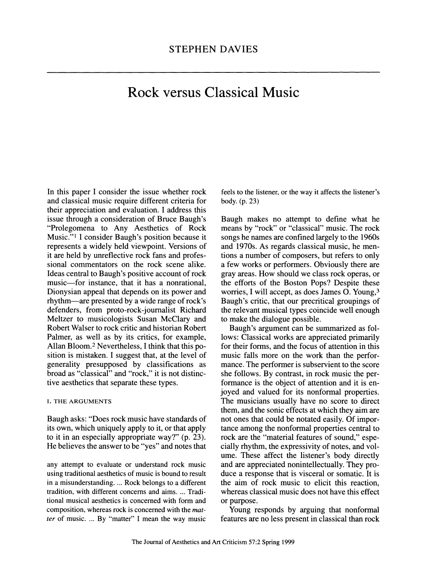# **Rock versus Classical Music**

**In this paper I consider the issue whether rock and classical music require different criteria for their appreciation and evaluation. I address this issue through a consideration of Bruce Baugh's "Prolegomena to Any Aesthetics of Rock Music."' I consider Baugh's position because it represents a widely held viewpoint. Versions of it are held by unreflective rock fans and professional commentators on the rock scene alike. Ideas central to Baugh's positive account of rock music-for instance, that it has a nonrational, Dionysian appeal that depends on its power and rhythm-are presented by a wide range of rock's defenders, from proto-rock-journalist Richard Meltzer to musicologists Susan McClary and Robert Walser to rock critic and historian Robert Palmer, as well as by its critics, for example, Allan Bloom.2 Nevertheless, I think that this position is mistaken. I suggest that, at the level of generality presupposed by classifications as broad as "classical" and "rock," it is not distinctive aesthetics that separate these types.** 

## **I. THE ARGUMENTS**

**Baugh asks: "Does rock music have standards of its own, which uniquely apply to it, or that apply to it in an especially appropriate way?" (p. 23). He believes the answer to be "yes" and notes that** 

**any attempt to evaluate or understand rock music using traditional aesthetics of music is bound to result in a misunderstanding.... Rock belongs to a different tradition, with different concerns and aims.... Traditional musical aesthetics is concerned with form and composition, whereas rock is concerned with the matter of music. ... By "matter" I mean the way music**  **feels to the listener, or the way it affects the listener's body. (p. 23)** 

**Baugh makes no attempt to define what he means by "rock" or "classical" music. The rock songs he names are confined largely to the 1960s and 1970s. As regards classical music, he mentions a number of composers, but refers to only a few works or performers. Obviously there are gray areas. How should we class rock operas, or the efforts of the Boston Pops? Despite these worries, I will accept, as does James O. Young,3 Baugh's critic, that our precritical groupings of the relevant musical types coincide well enough to make the dialogue possible.** 

**Baugh's argument can be summarized as follows: Classical works are appreciated primarily for their forms, and the focus of attention in this music falls more on the work than the performance. The performer is subservient to the score she follows. By contrast, in rock music the performance is the object of attention and it is enjoyed and valued for its nonformal properties. The musicians usually have no score to direct them, and the sonic effects at which they aim are not ones that could be notated easily. Of importance among the nonformal properties central to rock are the "material features of sound," especially rhythm, the expressivity of notes, and volume. These affect the listener's body directly and are appreciated nonintellectually. They produce a response that is visceral or somatic. It is the aim of rock music to elicit this reaction, whereas classical music does not have this effect or purpose.** 

**Young responds by arguing that nonformal features are no less present in classical than rock**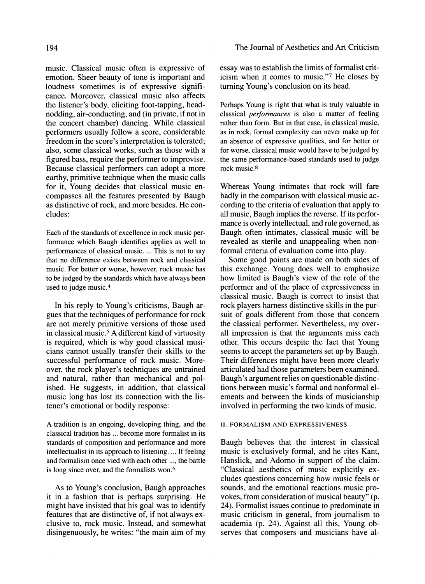**music. Classical music often is expressive of emotion. Sheer beauty of tone is important and loudness sometimes is of expressive significance. Moreover, classical music also affects the listener's body, eliciting foot-tapping, headnodding, air-conducting, and (in private, if not in the concert chamber) dancing. While classical performers usually follow a score, considerable freedom in the score's interpretation is tolerated; also, some classical works, such as those with a figured bass, require the performer to improvise. Because classical performers can adopt a more earthy, primitive technique when the music calls for it, Young decides that classical music encompasses all the features presented by Baugh as distinctive of rock, and more besides. He concludes:** 

**Each of the standards of excellence in rock music performance which Baugh identifies applies as well to performances of classical music.... This is not to say that no difference exists between rock and classical music. For better or worse, however, rock music has to be judged by the standards which have always been used to judge music.4** 

**In his reply to Young's criticisms, Baugh argues that the techniques of performance for rock are not merely primitive versions of those used in classical music.5 A different kind of virtuosity is required, which is why good classical musicians cannot usually transfer their skills to the successful performance of rock music. Moreover, the rock player's techniques are untrained and natural, rather than mechanical and polished. He suggests, in addition, that classical music long has lost its connection with the listener's emotional or bodily response:** 

**A tradition is an ongoing, developing thing, and the classical tradition has ... become more formalist in its standards of composition and performance and more intellectualist in its approach to listening.... If feeling and formalism once vied with each other ..., the battle is long since over, and the formalists won.6** 

**As to Young's conclusion, Baugh approaches it in a fashion that is perhaps surprising. He might have insisted that his goal was to identify features that are distinctive of, if not always exclusive to, rock music. Instead, and somewhat disingenuously, he writes: "the main aim of my**  **essay was to establish the limits of formalist criticism when it comes to music."7 He closes by turning Young's conclusion on its head.** 

**Perhaps Young is right that what is truly valuable in classical performances is also a matter of feeling rather than form. But in that case, in classical music, as in rock, formal complexity can never make up for an absence of expressive qualities, and for better or for worse, classical music would have to be judged by the same performance-based standards used to judge rock music.8** 

**Whereas Young intimates that rock will fare badly in the comparison with classical music according to the criteria of evaluation that apply to all music, Baugh implies the reverse. If its performance is overly intellectual, and rule governed, as Baugh often intimates, classical music will be revealed as sterile and unappealing when nonformal criteria of evaluation come into play.** 

**Some good points are made on both sides of this exchange. Young does well to emphasize how limited is Baugh's view of the role of the performer and of the place of expressiveness in classical music. Baugh is correct to insist that rock players harness distinctive skills in the pursuit of goals different from those that concern the classical performer. Nevertheless, my overall impression is that the arguments miss each other. This occurs despite the fact that Young seems to accept the parameters set up by Baugh. Their differences might have been more clearly articulated had those parameters been examined. Baugh's argument relies on questionable distinctions between music's formal and nonformal elements and between the kinds of musicianship involved in performing the two kinds of music.** 

### **II. FORMALISM AND EXPRESSIVENESS**

**Baugh believes that the interest in classical music is exclusively formal, and he cites Kant, Hanslick, and Adorno in support of the claim. "Classical aesthetics of music explicitly excludes questions concerning how music feels or sounds, and the emotional reactions music provokes, from consideration of musical beauty" (p. 24). Formalist issues continue to predominate in music criticism in general, from journalism to academia (p. 24). Against all this, Young observes that composers and musicians have al-**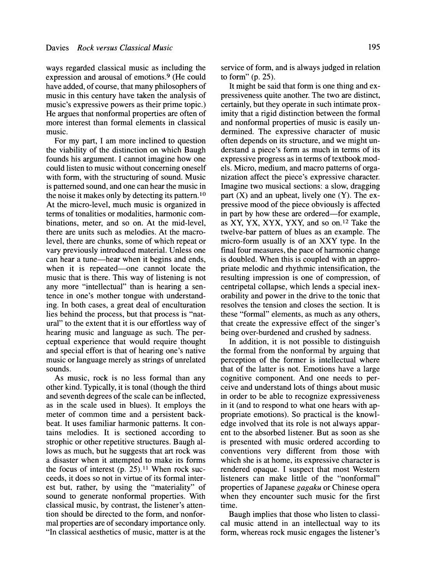**ways regarded classical music as including the expression and arousal of emotions.9 (He could have added, of course, that many philosophers of music in this century have taken the analysis of music's expressive powers as their prime topic.) He argues that nonformal properties are often of more interest than formal elements in classical music.** 

**For my part, I am more inclined to question the viability of the distinction on which Baugh founds his argument. I cannot imagine how one could listen to music without concerning oneself with form, with the structuring of sound. Music is patterned sound, and one can hear the music in the noise it makes only by detecting its pattern.'10 At the micro-level, much music is organized in terms of tonalities or modalities, harmonic combinations, meter, and so on. At the mid-level, there are units such as melodies. At the macrolevel, there are chunks, some of which repeat or vary previously introduced material. Unless one**  can hear a tune—hear when it begins and ends, when it is repeated—one cannot locate the **music that is there. This way of listening is not any more "intellectual" than is hearing a sentence in one's mother tongue with understanding. In both cases, a great deal of enculturation lies behind the process, but that process is "natural" to the extent that it is our effortless way of hearing music and language as such. The perceptual experience that would require thought and special effort is that of hearing one's native music or language merely as strings of unrelated sounds.** 

**As music, rock is no less formal than any other kind. Typically, it is tonal (though the third and seventh degrees of the scale can be inflected, as in the scale used in blues). It employs the meter of common time and a persistent backbeat. It uses familiar harmonic patterns. It contains melodies. It is sectioned according to strophic or other repetitive structures. Baugh allows as much, but he suggests that art rock was a disaster when it attempted to make its forms**  the focus of interest  $(p. 25)$ .<sup>11</sup> When rock suc**ceeds, it does so not in virtue of its formal interest but, rather, by using the "materiality" of sound to generate nonformal properties. With classical music, by contrast, the listener's attention should be directed to the form, and nonformal properties are of secondary importance only. "In classical aesthetics of music, matter is at the**  **service of form, and is always judged in relation to form" (p. 25).** 

**It might be said that form is one thing and expressiveness quite another. The two are distinct, certainly, but they operate in such intimate proximity that a rigid distinction between the formal and nonformal properties of music is easily undermined. The expressive character of music often depends on its structure, and we might understand a piece's form as much in terms of its expressive progress as in terms of textbook models. Micro, medium, and macro patterns of organization affect the piece's expressive character. Imagine two musical sections: a slow, dragging part (X) and an upbeat, lively one (Y). The expressive mood of the piece obviously is affected**  in part by how these are ordered—for example, **as XY, YX, XYX, YXY, and so on.'2 Take the twelve-bar pattern of blues as an example. The micro-form usually is of an XXY type. In the final four measures, the pace of harmonic change is doubled. When this is coupled with an appropriate melodic and rhythmic intensification, the resulting impression is one of compression, of centripetal collapse, which lends a special inexorability and power in the drive to the tonic that resolves the tension and closes the section. It is these "formal" elements, as much as any others, that create the expressive effect of the singer's being over-burdened and crushed by sadness.** 

**In addition, it is not possible to distinguish the formal from the nonformal by arguing that perception of the former is intellectual where that of the latter is not. Emotions have a large cognitive component. And one needs to perceive and understand lots of things about music in order to be able to recognize expressiveness in it (and to respond to what one hears with appropriate emotions). So practical is the knowledge involved that its role is not always apparent to the absorbed listener. But as soon as she is presented with music ordered according to conventions very different from those with which she is at home, its expressive character is rendered opaque. I suspect that most Western listeners can make little of the "nonformal" properties of Japanese gagaku or Chinese opera when they encounter such music for the first time.** 

**Baugh implies that those who listen to classical music attend in an intellectual way to its form, whereas rock music engages the listener's**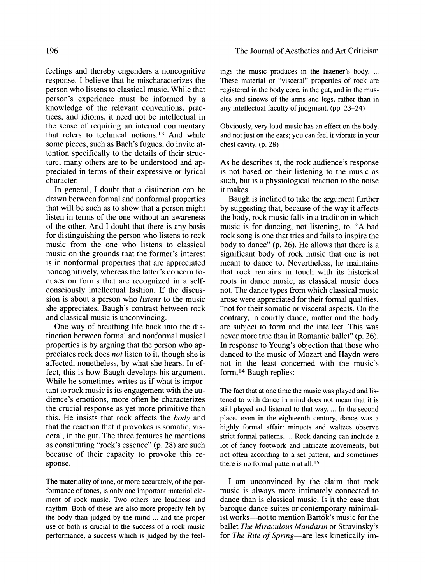**feelings and thereby engenders a noncognitive response. I believe that he mischaracterizes the person who listens to classical music. While that person's experience must be informed by a knowledge of the relevant conventions, practices, and idioms, it need not be intellectual in the sense of requiring an internal commentary that refers to technical notions.13 And while some pieces, such as Bach's fugues, do invite attention specifically to the details of their structure, many others are to be understood and appreciated in terms of their expressive or lyrical** 

**In general, I doubt that a distinction can be drawn between formal and nonformal properties that will be such as to show that a person might listen in terms of the one without an awareness of the other. And I doubt that there is any basis for distinguishing the person who listens to rock music from the one who listens to classical music on the grounds that the former's interest is in nonformal properties that are appreciated noncognitively, whereas the latter's concern focuses on forms that are recognized in a selfconsciously intellectual fashion. If the discussion is about a person who listens to the music she appreciates, Baugh's contrast between rock and classical music is unconvincing.** 

**One way of breathing life back into the distinction between formal and nonformal musical properties is by arguing that the person who appreciates rock does not listen to it, though she is affected, nonetheless, by what she hears. In effect, this is how Baugh develops his argument. While he sometimes writes as if what is important to rock music is its engagement with the audience's emotions, more often he characterizes the crucial response as yet more primitive than this. He insists that rock affects the body and that the reaction that it provokes is somatic, visceral, in the gut. The three features he mentions as constituting "rock's essence" (p. 28) are such because of their capacity to provoke this response.** 

**The materiality of tone, or more accurately, of the performance of tones, is only one important material element of rock music. Two others are loudness and rhythm. Both of these are also more properly felt by the body than judged by the mind ... and the proper use of both is crucial to the success of a rock music performance, a success which is judged by the feel-**

### **The Journal of Aesthetics and Art Criticism**

**ings the music produces in the listener's body.... These material or "visceral" properties of rock are registered in the body core, in the gut, and in the muscles and sinews of the arms and legs, rather than in any intellectual faculty of judgment. (pp. 23-24)** 

**Obviously, very loud music has an effect on the body, and not just on the ears; you can feel it vibrate in your chest cavity. (p. 28)** 

**As he describes it, the rock audience's response is not based on their listening to the music as such, but is a physiological reaction to the noise it makes.** 

**Baugh is inclined to take the argument further by suggesting that, because of the way it affects the body, rock music falls in a tradition in which music is for dancing, not listening, to. "A bad rock song is one that tries and fails to inspire the body to dance" (p. 26). He allows that there is a significant body of rock music that one is not meant to dance to. Nevertheless, he maintains that rock remains in touch with its historical roots in dance music, as classical music does not. The dance types from which classical music arose were appreciated for their formal qualities, "not for their somatic or visceral aspects. On the contrary, in courtly dance, matter and the body are subject to form and the intellect. This was never more true than in Romantic ballet" (p. 26). In response to Young's objection that those who danced to the music of Mozart and Haydn were not in the least concerned with the music's form,'4 Baugh replies:** 

**The fact that at one time the music was played and listened to with dance in mind does not mean that it is still played and listened to that way. ... In the second place, even in the eighteenth century, dance was a highly formal affair: minuets and waltzes observe strict formal patterns. ... Rock dancing can include a lot of fancy footwork and intricate movements, but not often according to a set pattern, and sometimes there is no formal pattern at all.15** 

**I am unconvinced by the claim that rock music is always more intimately connected to dance than is classical music. Is it the case that baroque dance suites or contemporary minimal**ist works-not to mention Bartók's music for the **ballet The Miraculous Mandarin or Stravinsky's**  for *The Rite of Spring—are less kinetically im-*

**character.**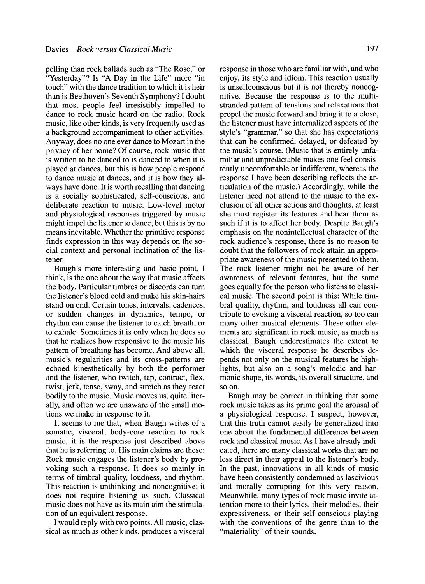**pelling than rock ballads such as "The Rose," or "Yesterday"? Is "A Day in the Life" more "in touch" with the dance tradition to which it is heir than is Beethoven's Seventh Symphony? I doubt that most people feel irresistibly impelled to dance to rock music heard on the radio. Rock music, like other kinds, is very frequently used as a background accompaniment to other activities. Anyway, does no one ever dance to Mozart in the privacy of her home? Of course, rock music that is written to be danced to is danced to when it is played at dances, but this is how people respond to dance music at dances, and it is how they always have done. It is worth recalling that dancing is a socially sophisticated, self-conscious, and deliberate reaction to music. Low-level motor and physiological responses triggered by music might impel the listener to dance, but this is by no means inevitable. Whether the primitive response finds expression in this way depends on the social context and personal inclination of the listener.** 

**Baugh's more interesting and basic point, I think, is the one about the way that music affects the body. Particular timbres or discords can turn the listener's blood cold and make his skin-hairs stand on end. Certain tones, intervals, cadences, or sudden changes in dynamics, tempo, or rhythm can cause the listener to catch breath, or to exhale. Sometimes it is only when he does so that he realizes how responsive to the music his pattern of breathing has become. And above all, music's regularities and its cross-patterns are echoed kinesthetically by both the performer and the listener, who twitch, tap, contract, flex, twist, jerk, tense, sway, and stretch as they react bodily to the music. Music moves us, quite literally, and often we are unaware of the small motions we make in response to it.** 

**It seems to me that, when Baugh writes of a somatic, visceral, body-core reaction to rock music, it is the response just described above that he is referring to. His main claims are these: Rock music engages the listener's body by provoking such a response. It does so mainly in terms of timbral quality, loudness, and rhythm. This reaction is unthinking and noncognitive; it does not require listening as such. Classical music does not have as its main aim the stimulation of an equivalent response.** 

**I would reply with two points. All music, classical as much as other kinds, produces a visceral**  **response in those who are familiar with, and who enjoy, its style and idiom. This reaction usually is unselfconscious but it is not thereby noncognitive. Because the response is to the multistranded pattern of tensions and relaxations that propel the music forward and bring it to a close, the listener must have internalized aspects of the style's "grammar," so that she has expectations that can be confirmed, delayed, or defeated by the music's course. (Music that is entirely unfamiliar and unpredictable makes one feel consistently uncomfortable or indifferent, whereas the response I have been describing reflects the articulation of the music.) Accordingly, while the listener need not attend to the music to the exclusion of all other actions and thoughts, at least she must register its features and hear them as such if it is to affect her body. Despite Baugh's emphasis on the nonintellectual character of the rock audience's response, there is no reason to doubt that the followers of rock attain an appropriate awareness of the music presented to them. The rock listener might not be aware of her awareness of relevant features, but the same goes equally for the person who listens to classical music. The second point is this: While timbral quality, rhythm, and loudness all can contribute to evoking a visceral reaction, so too can many other musical elements. These other elements are significant in rock music, as much as classical. Baugh underestimates the extent to which the visceral response he describes depends not only on the musical features he highlights, but also on a song's melodic and harmonic shape, its words, its overall structure, and so on.** 

**Baugh may be correct in thinking that some rock music takes as its prime goal the arousal of a physiological response. I suspect, however, that this truth cannot easily be generalized into one about the fundamental difference between rock and classical music. As I have already indicated, there are many classical works that are no less direct in their appeal to the listener's body. In the past, innovations in all kinds of music have been consistently condemned as lascivious and morally corrupting for this very reason. Meanwhile, many types of rock music invite attention more to their lyrics, their melodies, their expressiveness, or their self-conscious playing with the conventions of the genre than to the "materiality" of their sounds.**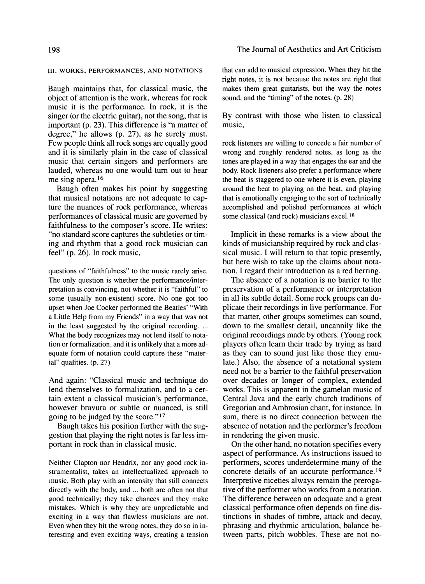#### **III. WORKS, PERFORMANCES, AND NOTATIONS**

**Baugh maintains that, for classical music, the object of attention is the work, whereas for rock music it is the performance. In rock, it is the singer (or the electric guitar), not the song, that is important (p. 23). This difference is "a matter of degree," he allows (p. 27), as he surely must. Few people think all rock songs are equally good and it is similarly plain in the case of classical music that certain singers and performers are lauded, whereas no one would turn out to hear**  me sing opera.<sup>16</sup>

**Baugh often makes his point by suggesting that musical notations are not adequate to capture the nuances of rock performance, whereas performances of classical music are governed by faithfulness to the composer's score. He writes: "no standard score captures the subtleties or timing and rhythm that a good rock musician can feel" (p. 26). In rock music,** 

**questions of "faithfulness" to the music rarely arise. The only question is whether the performance/interpretation is convincing, not whether it is "faithful" to some (usually non-existent) score. No one got too upset when Joe Cocker performed the Beatles' "With a Little Help from my Friends" in a way that was not in the least suggested by the original recording.... What the body recognizes may not lend itself to notation or formalization, and it is unlikely that a more adequate form of notation could capture these "material" qualities. (p. 27)** 

**And again: "Classical music and technique do lend themselves to formalization, and to a certain extent a classical musician's performance, however bravura or subtle or nuanced, is still going to be judged by the score."'7** 

**Baugh takes his position further with the suggestion that playing the right notes is far less important in rock than in classical music.** 

**Neither Clapton nor Hendrix, nor any good rock instrumentalist, takes an intellectualized approach to music. Both play with an intensity that still connects directly with the body, and ... both are often not that good technically; they take chances and they make mistakes. Which is why they are unpredictable and exciting in a way that flawless musicians are not. Even when they hit the wrong notes, they do so in interesting and even exciting ways, creating a tension**  **that can add to musical expression. When they hit the right notes, it is not because the notes are right that makes them great guitarists, but the way the notes sound, and the "timing" of the notes. (p. 28)** 

**By contrast with those who listen to classical music,** 

**rock listeners are willing to concede a fair number of wrong and roughly rendered notes, as long as the tones are played in a way that engages the ear and the body. Rock listeners also prefer a performance where the beat is staggered to one where it is even, playing around the beat to playing on the beat, and playing that is emotionally engaging to the sort of technically accomplished and polished performances at which some classical (and rock) musicians excel.18** 

**Implicit in these remarks is a view about the kinds of musicianship required by rock and classical music. I will return to that topic presently, but here wish to take up the claims about notation. I regard their introduction as a red herring.** 

**The absence of a notation is no barrier to the preservation of a performance or interpretation in all its subtle detail. Some rock groups can duplicate their recordings in live performance. For that matter, other groups sometimes can sound, down to the smallest detail, uncannily like the original recordings made by others. (Young rock players often learn their trade by trying as hard as they can to sound just like those they emulate.) Also, the absence of a notational system need not be a barrier to the faithful preservation over decades or longer of complex, extended works. This is apparent in the gamelan music of Central Java and the early church traditions of Gregorian and Ambrosian chant, for instance. In sum, there is no direct connection between the absence of notation and the performer's freedom in rendering the given music.** 

**On the other hand, no notation specifies every aspect of performance. As instructions issued to performers, scores underdetermine many of the concrete details of an accurate performance.19 Interpretive niceties always remain the prerogative of the performer who works from a notation. The difference between an adequate and a great classical performance often depends on fine distinctions in shades of timbre, attack and decay, phrasing and rhythmic articulation, balance between parts, pitch wobbles. These are not no-**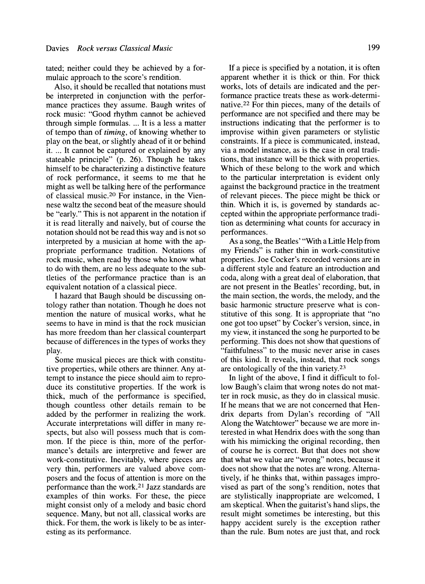**tated; neither could they be achieved by a formulaic approach to the score's rendition.** 

**Also, it should be recalled that notations must be interpreted in conjunction with the performance practices they assume. Baugh writes of rock music: "Good rhythm cannot be achieved through simple formulas.... It is a less a matter of tempo than of timing, of knowing whether to play on the beat, or slightly ahead of it or behind it.... It cannot be captured or explained by any stateable principle" (p. 26). Though he takes himself to be characterizing a distinctive feature of rock performance, it seems to me that he might as well be talking here of the performance of classical music.20 For instance, in the Viennese waltz the second beat of the measure should be "early." This is not apparent in the notation if it is read literally and naively, but of course the notation should not be read this way and is not so interpreted by a musician at home with the appropriate performance tradition. Notations of rock music, when read by those who know what to do with them, are no less adequate to the subtleties of the performance practice than is an equivalent notation of a classical piece.** 

**I hazard that Baugh should be discussing ontology rather than notation. Though he does not mention the nature of musical works, what he seems to have in mind is that the rock musician has more freedom than her classical counterpart because of differences in the types of works they play.** 

**Some musical pieces are thick with constitutive properties, while others are thinner. Any attempt to instance the piece should aim to reproduce its constitutive properties. If the work is thick, much of the performance is specified, though countless other details remain to be added by the performer in realizing the work. Accurate interpretations will differ in many respects, but also will possess much that is common. If the piece is thin, more of the performance's details are interpretive and fewer are work-constitutive. Inevitably, where pieces are very thin, performers are valued above composers and the focus of attention is more on the performance than the work.21 Jazz standards are examples of thin works. For these, the piece might consist only of a melody and basic chord sequence. Many, but not all, classical works are thick. For them, the work is likely to be as interesting as its performance.** 

**If a piece is specified by a notation, it is often apparent whether it is thick or thin. For thick works, lots of details are indicated and the performance practice treats these as work-determinative.22 For thin pieces, many of the details of performance are not specified and there may be instructions indicating that the performer is to improvise within given parameters or stylistic constraints. If a piece is communicated, instead, via a model instance, as is the case in oral traditions, that instance will be thick with properties. Which of these belong to the work and which to the particular interpretation is evident only against the background practice in the treatment of relevant pieces. The piece might be thick or thin. Which it is, is governed by standards accepted within the appropriate performance tradition as determining what counts for accuracy in performances.** 

**As a song, the Beatles' "With a Little Help from my Friends" is rather thin in work-constitutive properties. Joe Cocker's recorded versions are in a different style and feature an introduction and coda, along with a great deal of elaboration, that are not present in the Beatles' recording, but, in the main section, the words, the melody, and the basic harmonic structure preserve what is constitutive of this song. It is appropriate that "no one got too upset" by Cocker's version, since, in my view, it instanced the song he purported to be performing. This does not show that questions of "faithfulness" to the music never arise in cases of this kind. It reveals, instead, that rock songs are ontologically of the thin variety.23** 

**In light of the above, I find it difficult to follow Baugh's claim that wrong notes do not matter in rock music, as they do in classical music. If he means that we are not concerned that Hendrix departs from Dylan's recording of "All Along the Watchtower" because we are more interested in what Hendrix does with the song than with his mimicking the original recording, then of course he is correct. But that does not show that what we value are "wrong" notes, because it does not show that the notes are wrong. Alternatively, if he thinks that, within passages improvised as part of the song's rendition, notes that are stylistically inappropriate are welcomed, I am skeptical. When the guitarist's hand slips, the result might sometimes be interesting, but this happy accident surely is the exception rather than the rule. Bum notes are just that, and rock**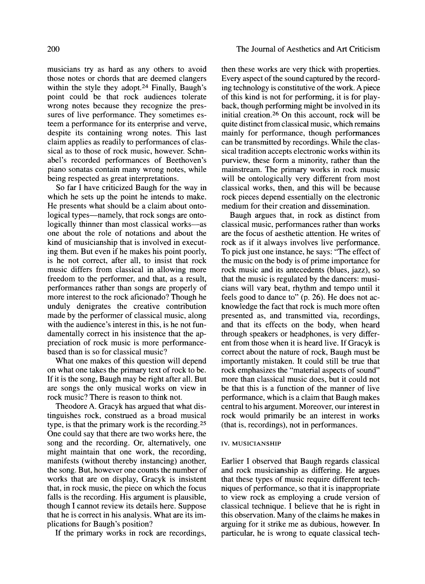**musicians try as hard as any others to avoid those notes or chords that are deemed clangers within the style they adopt.24 Finally, Baugh's point could be that rock audiences tolerate wrong notes because they recognize the pressures of live performance. They sometimes esteem a performance for its enterprise and verve, despite its containing wrong notes. This last claim applies as readily to performances of classical as to those of rock music, however. Schnabel's recorded performances of Beethoven's piano sonatas contain many wrong notes, while being respected as great interpretations.** 

**So far I have criticized Baugh for the way in which he sets up the point he intends to make. He presents what should be a claim about onto**logical types—namely, that rock songs are onto**logically thinner than most classical works-as one about the role of notations and about the kind of musicianship that is involved in executing them. But even if he makes his point poorly, is he not correct, after all, to insist that rock music differs from classical in allowing more freedom to the performer, and that, as a result, performances rather than songs are properly of more interest to the rock aficionado? Though he unduly denigrates the creative contribution made by the performer of classical music, along with the audience's interest in this, is he not fundamentally correct in his insistence that the appreciation of rock music is more performancebased than is so for classical music?** 

**What one makes of this question will depend on what one takes the primary text of rock to be. If it is the song, Baugh may be right after all. But are songs the only musical works on view in rock music? There is reason to think not.** 

**Theodore A. Gracyk has argued that what distinguishes rock, construed as a broad musical type, is that the primary work is the recording.25 One could say that there are two works here, the song and the recording. Or, alternatively, one might maintain that one work, the recording, manifests (without thereby instancing) another, the song. But, however one counts the number of works that are on display, Gracyk is insistent that, in rock music, the piece on which the focus falls is the recording. His argument is plausible, though I cannot review its details here. Suppose that he is correct in his analysis. What are its implications for Baugh's position?** 

**If the primary works in rock are recordings,** 

**then these works are very thick with properties. Every aspect of the sound captured by the recording technology is constitutive of the work. A piece of this kind is not for performing, it is for playback, though performing might be involved in its initial creation.26 On this account, rock will be quite distinct from classical music, which remains mainly for performance, though performances can be transmitted by recordings. While the classical tradition accepts electronic works within its purview, these form a minority, rather than the mainstream. The primary works in rock music will be ontologically very different from most classical works, then, and this will be because rock pieces depend essentially on the electronic medium for their creation and dissemination.** 

**Baugh argues that, in rock as distinct from classical music, performances rather than works are the focus of aesthetic attention. He writes of rock as if it always involves live performance. To pick just one instance, he says: "The effect of the music on the body is of prime importance for rock music and its antecedents (blues, jazz), so that the music is regulated by the dancers: musicians will vary beat, rhythm and tempo until it feels good to dance to" (p. 26). He does not acknowledge the fact that rock is much more often presented as, and transmitted via, recordings, and that its effects on the body, when heard through speakers or headphones, is very different from those when it is heard live. If Gracyk is correct about the nature of rock, Baugh must be importantly mistaken. It could still be true that rock emphasizes the "material aspects of sound" more than classical music does, but it could not be that this is a function of the manner of live performance, which is a claim that Baugh makes central to his argument. Moreover, our interest in rock would primarily be an interest in works (that is, recordings), not in performances.** 

#### **IV. MUSICIANSHIP**

**Earlier I observed that Baugh regards classical and rock musicianship as differing. He argues that these types of music require different techniques of performance, so that it is inappropriate to view rock as employing a crude version of classical technique. I believe that he is right in this observation. Many of the claims he makes in arguing for it strike me as dubious, however. In particular, he is wrong to equate classical tech-**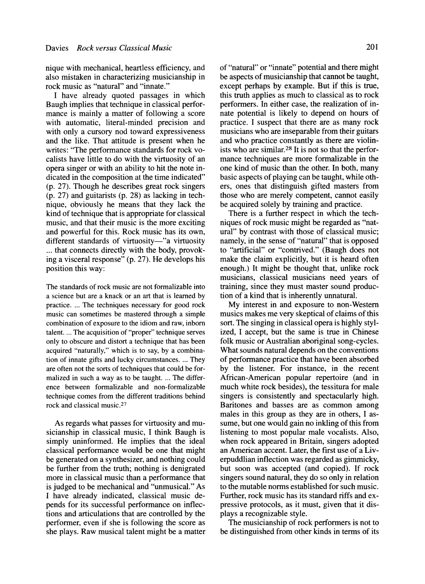**nique with mechanical, heartless efficiency, and**  also mistaken in characterizing musicianship in **rock music as "natural" and "innate."** 

**I have already quoted passages in which Baugh implies that technique in classical performance is mainly a matter of following a score with automatic, literal-minded precision and with only a cursory nod toward expressiveness and the like. That attitude is present when he writes: "The performance standards for rock vocalists have little to do with the virtuosity of an opera singer or with an ability to hit the note indicated in the composition at the time indicated" (p. 27). Though he describes great rock singers (p. 27) and guitarists (p. 28) as lacking in technique, obviously he means that they lack the kind of technique that is appropriate for classical**  music, and that their music is the more exciting **and powerful for this. Rock music has its own,**  different standards of virtuosity-"a virtuosity **... that connects directly with the body, provoking a visceral response" (p. 27). He develops his position this way:** 

**The standards of rock music are not formalizable into a science but are a knack or an art that is learned by practice. ... The techniques necessary for good rock music can sometimes be mastered through a simple combination of exposure to the idiom and raw, inborn talent.... The acquisition of "proper" technique serves only to obscure and distort a technique that has been acquired "naturally," which is to say, by a combination of innate gifts and lucky circumstances. ... They are often not the sorts of techniques that could be formalized in such a way as to be taught. ... The difference between formalizable and non-formalizable technique comes from the different traditions behind rock and classical music.27** 

**As regards what passes for virtuosity and musicianship in classical music, I think Baugh is simply uninformed. He implies that the ideal classical performance would be one that might be generated on a synthesizer, and nothing could be further from the truth; nothing is denigrated**  more in classical music than a performance that **is judged to be mechanical and "unmusical." As I have already indicated, classical music depends for its successful performance on inflections and articulations that are controlled by the performer, even if she is following the score as she plays. Raw musical talent might be a matter**  **of "natural" or "innate" potential and there might be aspects of musicianship that cannot be taught, except perhaps by example. But if this is true, this truth applies as much to classical as to rock performers. In either case, the realization of innate potential is likely to depend on hours of practice. I suspect that there are as many rock musicians who are inseparable from their guitars**  and who practice constantly as there are violin**ists who are similar.28 It is not so that the performance techniques are more formalizable in the one kind of music than the other. In both, many basic aspects of playing can be taught, while others, ones that distinguish gifted masters from those who are merely competent, cannot easily be acquired solely by training and practice.** 

**There is a further respect in which the techniques of rock music might be regarded as "natural" by contrast with those of classical music; namely, in the sense of "natural" that is opposed to "artificial" or "contrived." (Baugh does not make the claim explicitly, but it is heard often enough.) It might be thought that, unlike rock musicians, classical musicians need years of training, since they must master sound production of a kind that is inherently unnatural.** 

**My interest in and exposure to non-Western musics makes me very skeptical of claims of this sort. The singing in classical opera is highly stylized, I accept, but the same is true in Chinese folk music or Australian aboriginal song-cycles. What sounds natural depends on the conventions of performance practice that have been absorbed by the listener. For instance, in the recent African-American popular repertoire (and in much white rock besides), the tessitura for male singers is consistently and spectacularly high. Baritones and basses are as common among males in this group as they are in others, I assume, but one would gain no inkling of this from listening to most popular male vocalists. Also, when rock appeared in Britain, singers adopted an American accent. Later, the first use of a Liverpuddlian inflection was regarded as gimmicky, but soon was accepted (and copied). If rock singers sound natural, they do so only in relation to the mutable norms established for such music. Further, rock music has its standard riffs and expressive protocols, as it must, given that it displays a recognizable style.** 

**The musicianship of rock performers is not to be distinguished from other kinds in terms of its**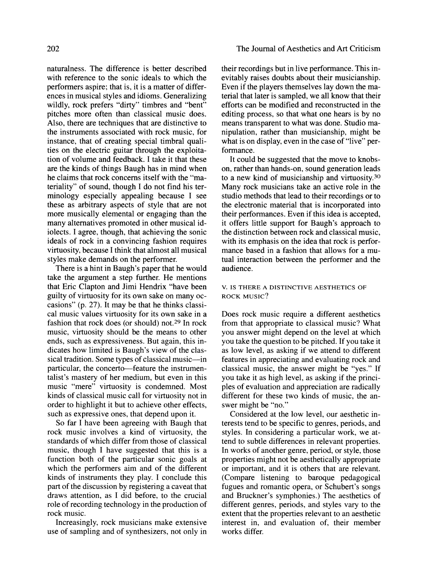**naturalness. The difference is better described with reference to the sonic ideals to which the performers aspire; that is, it is a matter of differences in musical styles and idioms. Generalizing wildly, rock prefers "dirty" timbres and "bent" pitches more often than classical music does. Also, there are techniques that are distinctive to the instruments associated with rock music, for instance, that of creating special timbral qualities on the electric guitar through the exploitation of volume and feedback. I take it that these are the kinds of things Baugh has in mind when he claims that rock concerns itself with the "materiality" of sound, though I do not find his terminology especially appealing because I see these as arbitrary aspects of style that are not more musically elemental or engaging than the many alternatives promoted in other musical idiolects. I agree, though, that achieving the sonic ideals of rock in a convincing fashion requires virtuosity, because I think that almost all musical styles make demands on the performer.** 

**There is a hint in Baugh's paper that he would take the argument a step further. He mentions that Eric Clapton and Jimi Hendrix "have been guilty of virtuosity for its own sake on many occasions" (p. 27). It may be that he thinks classical music values virtuosity for its own sake in a fashion that rock does (or should) not.29 In rock music, virtuosity should be the means to other ends, such as expressiveness. But again, this indicates how limited is Baugh's view of the classical tradition. Some types of classical music-in**  particular, the concerto-feature the instrumen**talist's mastery of her medium, but even in this music "mere" virtuosity is condemned. Most kinds of classical music call for virtuosity not in order to highlight it but to achieve other effects, such as expressive ones, that depend upon it.** 

**So far I have been agreeing with Baugh that rock music involves a kind of virtuosity, the standards of which differ from those of classical music, though I have suggested that this is a function both of the particular sonic goals at which the performers aim and of the different kinds of instruments they play. I conclude this part of the discussion by registering a caveat that draws attention, as I did before, to the crucial role of recording technology in the production of rock music.** 

**Increasingly, rock musicians make extensive use of sampling and of synthesizers, not only in**  **their recordings but in live performance. This inevitably raises doubts about their musicianship. Even if the players themselves lay down the material that later is sampled, we all know that their efforts can be modified and reconstructed in the editing process, so that what one hears is by no means transparent to what was done. Studio manipulation, rather than musicianship, might be what is on display, even in the case of "live" performance.** 

**It could be suggested that the move to knobson, rather than hands-on, sound generation leads to a new kind of musicianship and virtuosity.30 Many rock musicians take an active role in the studio methods that lead to their recordings or to the electronic material that is incorporated into their performances. Even if this idea is accepted, it offers little support for Baugh's approach to the distinction between rock and classical music, with its emphasis on the idea that rock is performance based in a fashion that allows for a mutual interaction between the performer and the audience.** 

### **V. IS THERE A DISTINCTIVE AESTHETICS OF ROCK MUSIC?**

**Does rock music require a different aesthetics from that appropriate to classical music? What you answer might depend on the level at which you take the question to be pitched. If you take it as low level, as asking if we attend to different features in appreciating and evaluating rock and classical music, the answer might be "yes." If you take it as high level, as asking if the principles of evaluation and appreciation are radically different for these two kinds of music, the answer might be "no."** 

**Considered at the low level, our aesthetic interests tend to be specific to genres, periods, and styles. In considering a particular work, we attend to subtle differences in relevant properties. In works of another genre, period, or style, those properties might not be aesthetically appropriate or important, and it is others that are relevant. (Compare listening to baroque pedagogical fugues and romantic opera, or Schubert's songs and Bruckner's symphonies.) The aesthetics of different genres, periods, and styles vary to the extent that the properties relevant to an aesthetic interest in, and evaluation of, their member works differ.**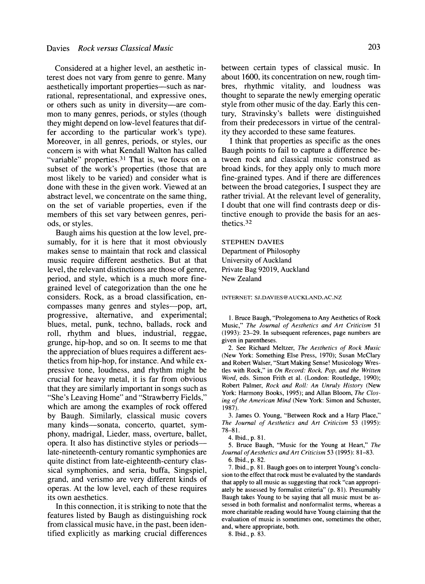**Considered at a higher level, an aesthetic interest does not vary from genre to genre. Many**  aesthetically important properties—such as nar**rational, representational, and expressive ones, or others such as unity in diversity-are common to many genres, periods, or styles (though they might depend on low-level features that differ according to the particular work's type). Moreover, in all genres, periods, or styles, our concern is with what Kendall Walton has called "variable" properties.31 That is, we focus on a subset of the work's properties (those that are most likely to be varied) and consider what is done with these in the given work. Viewed at an abstract level, we concentrate on the same thing, on the set of variable properties, even if the members of this set vary between genres, periods, or styles.** 

**Baugh aims his question at the low level, presumably, for it is here that it most obviously makes sense to maintain that rock and classical music require different aesthetics. But at that level, the relevant distinctions are those of genre, period, and style, which is a much more finegrained level of categorization than the one he considers. Rock, as a broad classification, encompasses many genres and styles-pop, art, progressive, alternative, and experimental; blues, metal, punk, techno, ballads, rock and roll, rhythm and blues, industrial, reggae, grunge, hip-hop, and so on. It seems to me that the appreciation of blues requires a different aesthetics from hip-hop, for instance. And while expressive tone, loudness, and rhythm might be crucial for heavy metal, it is far from obvious that they are similarly important in songs such as "She's Leaving Home" and "Strawberry Fields," which are among the examples of rock offered by Baugh. Similarly, classical music covers**  many kinds-sonata, concerto, quartet, sym**phony, madrigal, Lieder, mass, overture, ballet, opera. It also has distinctive styles or periodslate-nineteenth-century romantic symphonies are quite distinct from late-eighteenth-century classical symphonies, and seria, buffa, Singspiel, grand, and verismo are very different kinds of operas. At the low level, each of these requires its own aesthetics.** 

**In this connection, it is striking to note that the features listed by Baugh as distinguishing rock from classical music have, in the past, been identified explicitly as marking crucial differences**  **between certain types of classical music. In about 1600, its concentration on new, rough timbres, rhythmic vitality, and loudness was thought to separate the newly emerging operatic style from other music of the day. Early this century, Stravinsky's ballets were distinguished from their predecessors in virtue of the centrality they accorded to these same features.** 

**I think that properties as specific as the ones Baugh points to fail to capture a difference between rock and classical music construed as broad kinds, for they apply only to much more fine-grained types. And if there are differences between the broad categories, I suspect they are rather trivial. At the relevant level of generality, I doubt that one will find contrasts deep or distinctive enough to provide the basis for an aesthetics.32** 

**STEPHEN DAVIES Department of Philosophy University of Auckland Private Bag 92019, Auckland New Zealand** 

**INTERNET: SJ.DAVIES @AUCKLAND.AC.NZ** 

**1. Bruce Baugh, "Prolegomena to Any Aesthetics of Rock Music," The Journal of Aesthetics and Art Criticism 51 (1993): 23-29. In subsequent references, page numbers are given in parentheses.** 

**2. See Richard Meltzer, The Aesthetics of Rock Music (New York: Something Else Press, 1970); Susan McClary and Robert Walser, "Start Making Sense! Musicology Wrestles with Rock," in On Record: Rock, Pop, and the Written Word, eds. Simon Frith et al. (London: Routledge, 1990); Robert Palmer, Rock and Roll: An Unruly History (New**  York: Harmony Books, 1995); and Allan Bloom, The Clos**ing of the American Mind (New York: Simon and Schuster, 1987).** 

**3. James 0. Young, "Between Rock and a Harp Place," The Journal of Aesthetics and Art Criticism 53 (1995): 78-81.** 

**4. Ibid., p. 81.** 

**5. Bruce Baugh, "Music for the Young at Heart," The Journal of Aesthetics and Art Criticism 53 (1995): 81-83.** 

**6. Ibid., p. 82.** 

**7. Ibid., p. 81. Baugh goes on to interpret Young's conclusion to the effect that rock must be evaluated by the standards that apply to all music as suggesting that rock "can appropriately be assessed by formalist criteria" (p. 81). Presumably Baugh takes Young to be saying that all music must be assessed in both formalist and nonformalist terms, whereas a more charitable reading would have Young claiming that the evaluation of music is sometimes one, sometimes the other, and, where appropriate, both.** 

**8. Ibid., p. 83.**